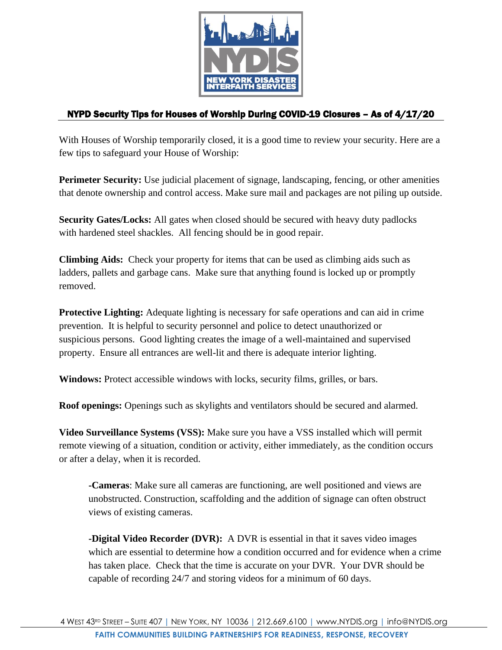

## NYPD Security Tips for Houses of Worship During COVID-19 Closures – As of 4/17/20

With Houses of Worship temporarily closed, it is a good time to review your security. Here are a few tips to safeguard your House of Worship:

**Perimeter Security:** Use judicial placement of signage, landscaping, fencing, or other amenities that denote ownership and control access. Make sure mail and packages are not piling up outside.

**Security Gates/Locks:** All gates when closed should be secured with heavy duty padlocks with hardened steel shackles. All fencing should be in good repair.

**Climbing Aids:** Check your property for items that can be used as climbing aids such as ladders, pallets and garbage cans. Make sure that anything found is locked up or promptly removed.

**Protective Lighting:** Adequate lighting is necessary for safe operations and can aid in crime prevention. It is helpful to security personnel and police to detect unauthorized or suspicious persons. Good lighting creates the image of a well-maintained and supervised property. Ensure all entrances are well-lit and there is adequate interior lighting.

**Windows:** Protect accessible windows with locks, security films, grilles, or bars.

**Roof openings:** Openings such as skylights and ventilators should be secured and alarmed.

**Video Surveillance Systems (VSS):** Make sure you have a VSS installed which will permit remote viewing of a situation, condition or activity, either immediately, as the condition occurs or after a delay, when it is recorded.

**-Cameras**: Make sure all cameras are functioning, are well positioned and views are unobstructed. Construction, scaffolding and the addition of signage can often obstruct views of existing cameras.

**-Digital Video Recorder (DVR):** A DVR is essential in that it saves video images which are essential to determine how a condition occurred and for evidence when a crime has taken place. Check that the time is accurate on your DVR. Your DVR should be capable of recording 24/7 and storing videos for a minimum of 60 days.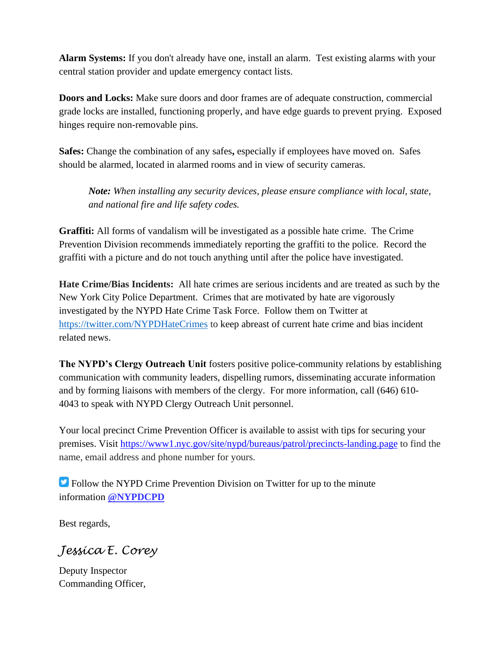**Alarm Systems:** If you don't already have one, install an alarm. Test existing alarms with your central station provider and update emergency contact lists.

**Doors and Locks:** Make sure doors and door frames are of adequate construction, commercial grade locks are installed, functioning properly, and have edge guards to prevent prying. Exposed hinges require non-removable pins.

**Safes:** Change the combination of any safes**,** especially if employees have moved on. Safes should be alarmed, located in alarmed rooms and in view of security cameras.

*Note: When installing any security devices, please ensure compliance with local, state, and national fire and life safety codes.*

**Graffiti:** All forms of vandalism will be investigated as a possible hate crime. The Crime Prevention Division recommends immediately reporting the graffiti to the police. Record the graffiti with a picture and do not touch anything until after the police have investigated.

**Hate Crime/Bias Incidents:** All hate crimes are serious incidents and are treated as such by the New York City Police Department. Crimes that are motivated by hate are vigorously investigated by the NYPD Hate Crime Task Force. Follow them on Twitter at [https://twitter.com/NYPDHateCrimes](https://urldefense.proofpoint.com/v2/url?u=https-3A__twitter.com_NYPDHateCrimes&d=DwMGaQ&c=euGZstcaTDllvimEN8b7jXrwqOf-v5A_CdpgnVfiiMM&r=2_vmhjFVqWY5dsmF59iCeSxyzsdpChNGqmK5uKcTV8Q&m=WBL1lbyXUwzpUELcCgZIX0Pk-Fp4jL_TFdDF6SHP3ok&s=IZmg6lESC_nLCrq5j8cVkcaIWB9ITb1jXwleWsdCIFE&e=) to keep abreast of current hate crime and bias incident related news.

**The NYPD's Clergy Outreach Unit** fosters positive police-community relations by establishing communication with community leaders, dispelling rumors, disseminating accurate information and by forming liaisons with members of the clergy. For more information, call (646) 610- 4043 to speak with NYPD Clergy Outreach Unit personnel.

Your local precinct Crime Prevention Officer is available to assist with tips for securing your premises. Visit [https://www1.nyc.gov/site/nypd/bureaus/patrol/precincts-landing.page](https://urldefense.proofpoint.com/v2/url?u=https-3A__gcc01.safelinks.protection.outlook.com_-3Furl-3Dhttps-253A-252F-252Fwww1.nyc.gov-252Fsite-252Fnypd-252Fbureaus-252Fpatrol-252Fprecincts-2Dlanding.page-26data-3D02-257C01-257Croslyn.blackwell-2540nypd.org-257C7b1c6882cc93409b2d0e08d7d59e51bb-257C2b9f57eb78d146fbbe83a2afdd7c6043-257C0-257C0-257C637212748268377501-26sdata-3DWz5qWrk4Zmhdjrdsan4gSpsOu3YnM79Sga9vv1IuouA-253D-26reserved-3D0&d=DwMGaQ&c=euGZstcaTDllvimEN8b7jXrwqOf-v5A_CdpgnVfiiMM&r=2_vmhjFVqWY5dsmF59iCeSxyzsdpChNGqmK5uKcTV8Q&m=WBL1lbyXUwzpUELcCgZIX0Pk-Fp4jL_TFdDF6SHP3ok&s=Cu967MuhQMv3vzVIoWzwoEZwvHx9PfWueQqKJqnFhh4&e=) to find the name, email address and phone number for yours.

**Follow the NYPD Crime Prevention Division on Twitter for up to the minute** information **[@NYPDCPD](https://urldefense.proofpoint.com/v2/url?u=https-3A__gcc01.safelinks.protection.outlook.com_-3Furl-3Dhttps-253A-252F-252Ftwitter.com-252FNYPDCPD-26data-3D02-257C01-257Croslyn.blackwell-2540nypd.org-257C7b1c6882cc93409b2d0e08d7d59e51bb-257C2b9f57eb78d146fbbe83a2afdd7c6043-257C0-257C0-257C637212748268377501-26sdata-3DODpe9aCaREKVJfVrbDFV42wQHTSpP-252FnSeQKYZOTMxHU-253D-26reserved-3D0&d=DwMGaQ&c=euGZstcaTDllvimEN8b7jXrwqOf-v5A_CdpgnVfiiMM&r=2_vmhjFVqWY5dsmF59iCeSxyzsdpChNGqmK5uKcTV8Q&m=WBL1lbyXUwzpUELcCgZIX0Pk-Fp4jL_TFdDF6SHP3ok&s=UfB_LJXh7S7TzrYvVhKufp_kNTiTy16X5jcCq_PDb1U&e=)**

Best regards,

*Jessica E. Corey*

Deputy Inspector Commanding Officer,